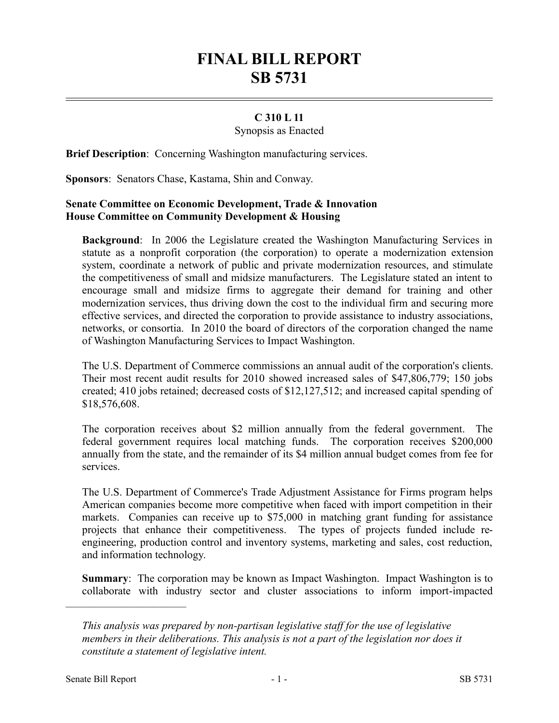## **FINAL BILL REPORT SB 5731**

## **C 310 L 11**

Synopsis as Enacted

**Brief Description**: Concerning Washington manufacturing services.

**Sponsors**: Senators Chase, Kastama, Shin and Conway.

## **Senate Committee on Economic Development, Trade & Innovation House Committee on Community Development & Housing**

**Background**: In 2006 the Legislature created the Washington Manufacturing Services in statute as a nonprofit corporation (the corporation) to operate a modernization extension system, coordinate a network of public and private modernization resources, and stimulate the competitiveness of small and midsize manufacturers. The Legislature stated an intent to encourage small and midsize firms to aggregate their demand for training and other modernization services, thus driving down the cost to the individual firm and securing more effective services, and directed the corporation to provide assistance to industry associations, networks, or consortia. In 2010 the board of directors of the corporation changed the name of Washington Manufacturing Services to Impact Washington.

The U.S. Department of Commerce commissions an annual audit of the corporation's clients. Their most recent audit results for 2010 showed increased sales of \$47,806,779; 150 jobs created; 410 jobs retained; decreased costs of \$12,127,512; and increased capital spending of \$18,576,608.

The corporation receives about \$2 million annually from the federal government. The federal government requires local matching funds. The corporation receives \$200,000 annually from the state, and the remainder of its \$4 million annual budget comes from fee for services.

The U.S. Department of Commerce's Trade Adjustment Assistance for Firms program helps American companies become more competitive when faced with import competition in their markets. Companies can receive up to \$75,000 in matching grant funding for assistance projects that enhance their competitiveness. The types of projects funded include reengineering, production control and inventory systems, marketing and sales, cost reduction, and information technology.

**Summary**: The corporation may be known as Impact Washington. Impact Washington is to collaborate with industry sector and cluster associations to inform import-impacted

––––––––––––––––––––––

*This analysis was prepared by non-partisan legislative staff for the use of legislative members in their deliberations. This analysis is not a part of the legislation nor does it constitute a statement of legislative intent.*